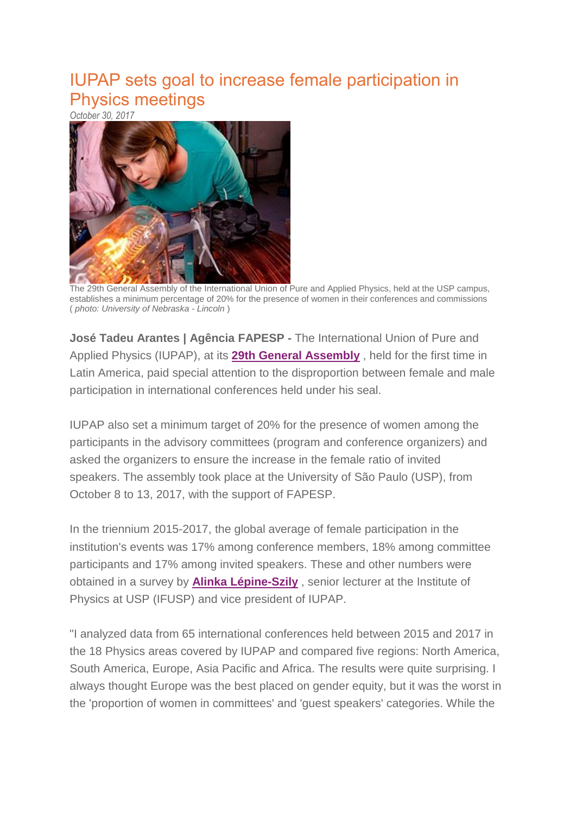## IUPAP sets goal to increase female participation in Physics meetings

*October 30, 2017*



The 29th General Assembly of the International Union of Pure and Applied Physics, held at the USP campus, establishes a minimum percentage of 20% for the presence of women in their conferences and commissions ( *photo: University of Nebraska - Lincoln* )

**José Tadeu Arantes | Agência FAPESP -** The International Union of Pure and Applied Physics (IUPAP), at its **29th General [Assembly](http://www.ifsc.usp.br/iupap2017)** , held for the first time in Latin America, paid special attention to the disproportion between female and male participation in international conferences held under his seal.

IUPAP also set a minimum target of 20% for the presence of women among the participants in the advisory committees (program and conference organizers) and asked the organizers to ensure the increase in the female ratio of invited speakers. The assembly took place at the University of São Paulo (USP), from October 8 to 13, 2017, with the support of FAPESP.

In the triennium 2015-2017, the global average of female participation in the institution's events was 17% among conference members, 18% among committee participants and 17% among invited speakers. These and other numbers were obtained in a survey by **Alinka [Lépine-Szily](http://www.bv.fapesp.br/pt/pesquisador/834)** , senior lecturer at the Institute of Physics at USP (IFUSP) and vice president of IUPAP.

"I analyzed data from 65 international conferences held between 2015 and 2017 in the 18 Physics areas covered by IUPAP and compared five regions: North America, South America, Europe, Asia Pacific and Africa. The results were quite surprising. I always thought Europe was the best placed on gender equity, but it was the worst in the 'proportion of women in committees' and 'guest speakers' categories. While the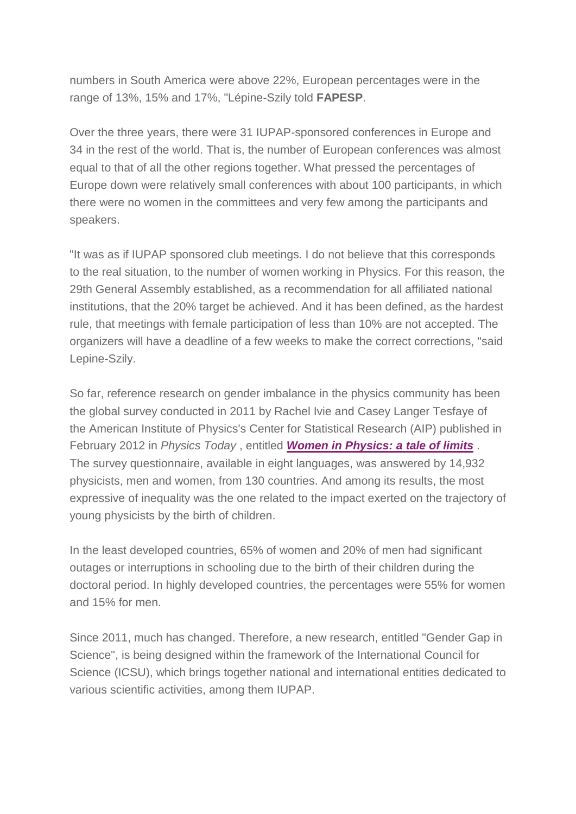numbers in South America were above 22%, European percentages were in the range of 13%, 15% and 17%, "Lépine-Szily told **FAPESP**.

Over the three years, there were 31 IUPAP-sponsored conferences in Europe and 34 in the rest of the world. That is, the number of European conferences was almost equal to that of all the other regions together. What pressed the percentages of Europe down were relatively small conferences with about 100 participants, in which there were no women in the committees and very few among the participants and speakers.

"It was as if IUPAP sponsored club meetings. I do not believe that this corresponds to the real situation, to the number of women working in Physics. For this reason, the 29th General Assembly established, as a recommendation for all affiliated national institutions, that the 20% target be achieved. And it has been defined, as the hardest rule, that meetings with female participation of less than 10% are not accepted. The organizers will have a deadline of a few weeks to make the correct corrections, "said Lepine-Szily.

So far, reference research on gender imbalance in the physics community has been the global survey conducted in 2011 by Rachel Ivie and Casey Langer Tesfaye of the American Institute of Physics's Center for Statistical Research (AIP) published in February 2012 in *Physics Today* , entitled *Women in [Physics:](http://physicstoday.scitation.org/doi/10.1063/PT.3.1439) a tale of limits* . The survey questionnaire, available in eight languages, was answered by 14,932 physicists, men and women, from 130 countries. And among its results, the most expressive of inequality was the one related to the impact exerted on the trajectory of young physicists by the birth of children.

In the least developed countries, 65% of women and 20% of men had significant outages or interruptions in schooling due to the birth of their children during the doctoral period. In highly developed countries, the percentages were 55% for women and 15% for men.

Since 2011, much has changed. Therefore, a new research, entitled "Gender Gap in Science", is being designed within the framework of the International Council for Science (ICSU), which brings together national and international entities dedicated to various scientific activities, among them IUPAP.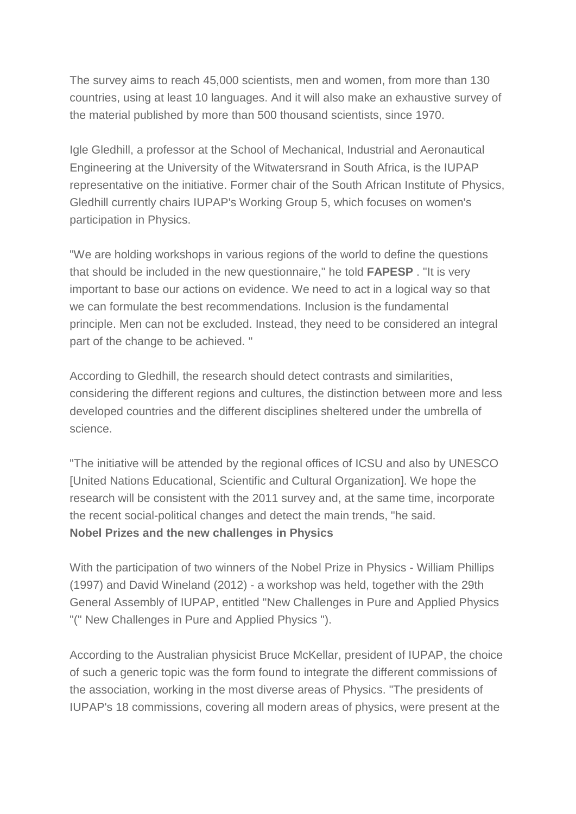The survey aims to reach 45,000 scientists, men and women, from more than 130 countries, using at least 10 languages. And it will also make an exhaustive survey of the material published by more than 500 thousand scientists, since 1970.

Igle Gledhill, a professor at the School of Mechanical, Industrial and Aeronautical Engineering at the University of the Witwatersrand in South Africa, is the IUPAP representative on the initiative. Former chair of the South African Institute of Physics, Gledhill currently chairs IUPAP's Working Group 5, which focuses on women's participation in Physics.

"We are holding workshops in various regions of the world to define the questions that should be included in the new questionnaire," he told **FAPESP** . "It is very important to base our actions on evidence. We need to act in a logical way so that we can formulate the best recommendations. Inclusion is the fundamental principle. Men can not be excluded. Instead, they need to be considered an integral part of the change to be achieved. "

According to Gledhill, the research should detect contrasts and similarities, considering the different regions and cultures, the distinction between more and less developed countries and the different disciplines sheltered under the umbrella of science.

"The initiative will be attended by the regional offices of ICSU and also by UNESCO [United Nations Educational, Scientific and Cultural Organization]. We hope the research will be consistent with the 2011 survey and, at the same time, incorporate the recent social-political changes and detect the main trends, "he said. **Nobel Prizes and the new challenges in Physics**

With the participation of two winners of the Nobel Prize in Physics - William Phillips (1997) and David Wineland (2012) - a workshop was held, together with the 29th General Assembly of IUPAP, entitled "New Challenges in Pure and Applied Physics "(" New Challenges in Pure and Applied Physics ").

According to the Australian physicist Bruce McKellar, president of IUPAP, the choice of such a generic topic was the form found to integrate the different commissions of the association, working in the most diverse areas of Physics. "The presidents of IUPAP's 18 commissions, covering all modern areas of physics, were present at the